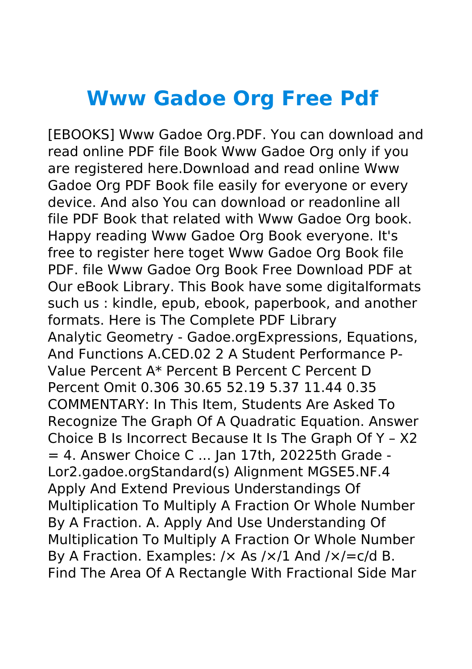## **Www Gadoe Org Free Pdf**

[EBOOKS] Www Gadoe Org.PDF. You can download and read online PDF file Book Www Gadoe Org only if you are registered here.Download and read online Www Gadoe Org PDF Book file easily for everyone or every device. And also You can download or readonline all file PDF Book that related with Www Gadoe Org book. Happy reading Www Gadoe Org Book everyone. It's free to register here toget Www Gadoe Org Book file PDF. file Www Gadoe Org Book Free Download PDF at Our eBook Library. This Book have some digitalformats such us : kindle, epub, ebook, paperbook, and another formats. Here is The Complete PDF Library Analytic Geometry - Gadoe.orgExpressions, Equations, And Functions A.CED.02 2 A Student Performance P-Value Percent A\* Percent B Percent C Percent D Percent Omit 0.306 30.65 52.19 5.37 11.44 0.35 COMMENTARY: In This Item, Students Are Asked To Recognize The Graph Of A Quadratic Equation. Answer Choice B Is Incorrect Because It Is The Graph Of Y – X2 = 4. Answer Choice C ... Jan 17th, 20225th Grade - Lor2.gadoe.orgStandard(s) Alignment MGSE5.NF.4 Apply And Extend Previous Understandings Of Multiplication To Multiply A Fraction Or Whole Number By A Fraction. A. Apply And Use Understanding Of Multiplication To Multiply A Fraction Or Whole Number By A Fraction. Examples:  $/x$  As  $/x/1$  And  $/x$  = c/d B. Find The Area Of A Rectangle With Fractional Side Mar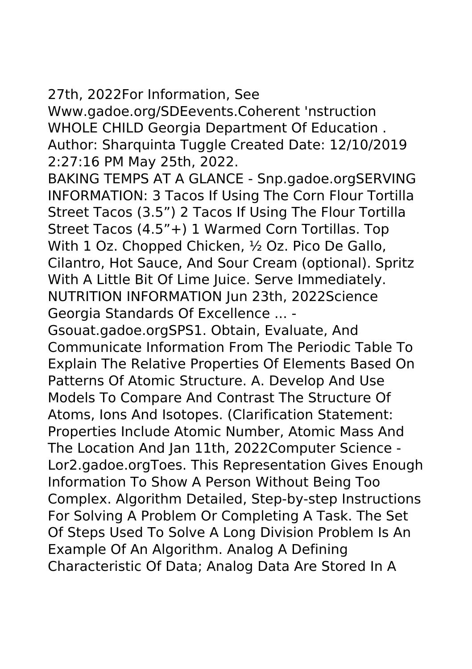27th, 2022For Information, See

Www.gadoe.org/SDEevents.Coherent 'nstruction WHOLE CHILD Georgia Department Of Education . Author: Sharquinta Tuggle Created Date: 12/10/2019 2:27:16 PM May 25th, 2022.

BAKING TEMPS AT A GLANCE - Snp.gadoe.orgSERVING INFORMATION: 3 Tacos If Using The Corn Flour Tortilla Street Tacos (3.5") 2 Tacos If Using The Flour Tortilla Street Tacos (4.5"+) 1 Warmed Corn Tortillas. Top With 1 Oz. Chopped Chicken, ½ Oz. Pico De Gallo, Cilantro, Hot Sauce, And Sour Cream (optional). Spritz With A Little Bit Of Lime Juice. Serve Immediately. NUTRITION INFORMATION Jun 23th, 2022Science Georgia Standards Of Excellence ... -

Gsouat.gadoe.orgSPS1. Obtain, Evaluate, And Communicate Information From The Periodic Table To Explain The Relative Properties Of Elements Based On Patterns Of Atomic Structure. A. Develop And Use Models To Compare And Contrast The Structure Of Atoms, Ions And Isotopes. (Clarification Statement: Properties Include Atomic Number, Atomic Mass And The Location And Jan 11th, 2022Computer Science - Lor2.gadoe.orgToes. This Representation Gives Enough Information To Show A Person Without Being Too Complex. Algorithm Detailed, Step-by-step Instructions For Solving A Problem Or Completing A Task. The Set Of Steps Used To Solve A Long Division Problem Is An Example Of An Algorithm. Analog A Defining Characteristic Of Data; Analog Data Are Stored In A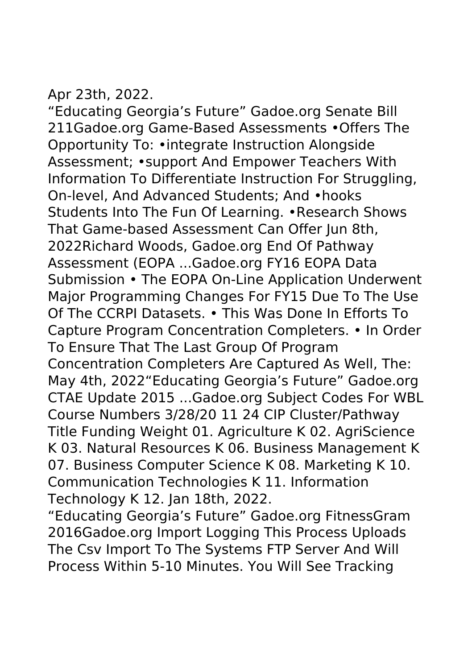Apr 23th, 2022.

"Educating Georgia's Future" Gadoe.org Senate Bill 211Gadoe.org Game-Based Assessments •Offers The Opportunity To: •integrate Instruction Alongside Assessment; •support And Empower Teachers With Information To Differentiate Instruction For Struggling, On-level, And Advanced Students; And •hooks Students Into The Fun Of Learning. •Research Shows That Game-based Assessment Can Offer Jun 8th, 2022Richard Woods, Gadoe.org End Of Pathway Assessment (EOPA ...Gadoe.org FY16 EOPA Data Submission • The EOPA On-Line Application Underwent Major Programming Changes For FY15 Due To The Use Of The CCRPI Datasets. • This Was Done In Efforts To Capture Program Concentration Completers. • In Order To Ensure That The Last Group Of Program Concentration Completers Are Captured As Well, The: May 4th, 2022"Educating Georgia's Future" Gadoe.org CTAE Update 2015 ...Gadoe.org Subject Codes For WBL Course Numbers 3/28/20 11 24 CIP Cluster/Pathway Title Funding Weight 01. Agriculture K 02. AgriScience K 03. Natural Resources K 06. Business Management K 07. Business Computer Science K 08. Marketing K 10. Communication Technologies K 11. Information Technology K 12. Jan 18th, 2022.

"Educating Georgia's Future" Gadoe.org FitnessGram 2016Gadoe.org Import Logging This Process Uploads The Csv Import To The Systems FTP Server And Will Process Within 5-10 Minutes. You Will See Tracking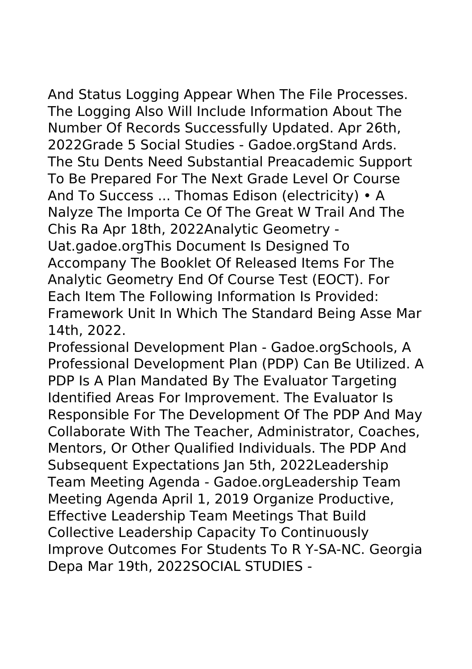And Status Logging Appear When The File Processes. The Logging Also Will Include Information About The Number Of Records Successfully Updated. Apr 26th, 2022Grade 5 Social Studies - Gadoe.orgStand Ards. The Stu Dents Need Substantial Preacademic Support To Be Prepared For The Next Grade Level Or Course And To Success ... Thomas Edison (electricity) • A Nalyze The Importa Ce Of The Great W Trail And The Chis Ra Apr 18th, 2022Analytic Geometry - Uat.gadoe.orgThis Document Is Designed To Accompany The Booklet Of Released Items For The Analytic Geometry End Of Course Test (EOCT). For Each Item The Following Information Is Provided: Framework Unit In Which The Standard Being Asse Mar 14th, 2022.

Professional Development Plan - Gadoe.orgSchools, A Professional Development Plan (PDP) Can Be Utilized. A PDP Is A Plan Mandated By The Evaluator Targeting Identified Areas For Improvement. The Evaluator Is Responsible For The Development Of The PDP And May Collaborate With The Teacher, Administrator, Coaches, Mentors, Or Other Qualified Individuals. The PDP And Subsequent Expectations Jan 5th, 2022Leadership Team Meeting Agenda - Gadoe.orgLeadership Team Meeting Agenda April 1, 2019 Organize Productive, Effective Leadership Team Meetings That Build Collective Leadership Capacity To Continuously Improve Outcomes For Students To R Y-SA-NC. Georgia Depa Mar 19th, 2022SOCIAL STUDIES -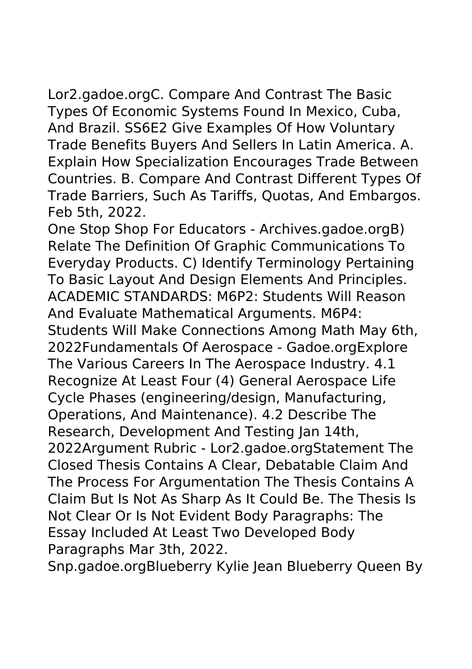Lor2.gadoe.orgC. Compare And Contrast The Basic Types Of Economic Systems Found In Mexico, Cuba, And Brazil. SS6E2 Give Examples Of How Voluntary Trade Benefits Buyers And Sellers In Latin America. A. Explain How Specialization Encourages Trade Between Countries. B. Compare And Contrast Different Types Of Trade Barriers, Such As Tariffs, Quotas, And Embargos. Feb 5th, 2022.

One Stop Shop For Educators - Archives.gadoe.orgB) Relate The Definition Of Graphic Communications To Everyday Products. C) Identify Terminology Pertaining To Basic Layout And Design Elements And Principles. ACADEMIC STANDARDS: M6P2: Students Will Reason And Evaluate Mathematical Arguments. M6P4: Students Will Make Connections Among Math May 6th, 2022Fundamentals Of Aerospace - Gadoe.orgExplore The Various Careers In The Aerospace Industry. 4.1 Recognize At Least Four (4) General Aerospace Life Cycle Phases (engineering/design, Manufacturing, Operations, And Maintenance). 4.2 Describe The Research, Development And Testing Jan 14th, 2022Argument Rubric - Lor2.gadoe.orgStatement The Closed Thesis Contains A Clear, Debatable Claim And The Process For Argumentation The Thesis Contains A Claim But Is Not As Sharp As It Could Be. The Thesis Is Not Clear Or Is Not Evident Body Paragraphs: The Essay Included At Least Two Developed Body Paragraphs Mar 3th, 2022.

Snp.gadoe.orgBlueberry Kylie Jean Blueberry Queen By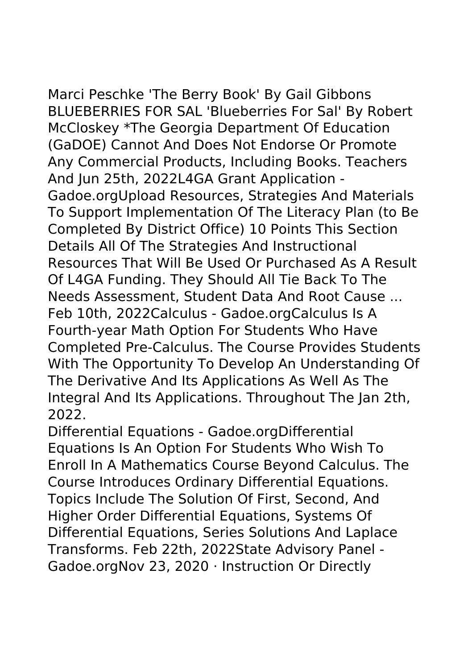Marci Peschke 'The Berry Book' By Gail Gibbons BLUEBERRIES FOR SAL 'Blueberries For Sal' By Robert McCloskey \*The Georgia Department Of Education (GaDOE) Cannot And Does Not Endorse Or Promote Any Commercial Products, Including Books. Teachers And Jun 25th, 2022L4GA Grant Application - Gadoe.orgUpload Resources, Strategies And Materials To Support Implementation Of The Literacy Plan (to Be Completed By District Office) 10 Points This Section Details All Of The Strategies And Instructional Resources That Will Be Used Or Purchased As A Result Of L4GA Funding. They Should All Tie Back To The Needs Assessment, Student Data And Root Cause ... Feb 10th, 2022Calculus - Gadoe.orgCalculus Is A Fourth-year Math Option For Students Who Have Completed Pre-Calculus. The Course Provides Students With The Opportunity To Develop An Understanding Of The Derivative And Its Applications As Well As The Integral And Its Applications. Throughout The Jan 2th, 2022.

Differential Equations - Gadoe.orgDifferential Equations Is An Option For Students Who Wish To Enroll In A Mathematics Course Beyond Calculus. The Course Introduces Ordinary Differential Equations. Topics Include The Solution Of First, Second, And Higher Order Differential Equations, Systems Of Differential Equations, Series Solutions And Laplace Transforms. Feb 22th, 2022State Advisory Panel - Gadoe.orgNov 23, 2020 · Instruction Or Directly